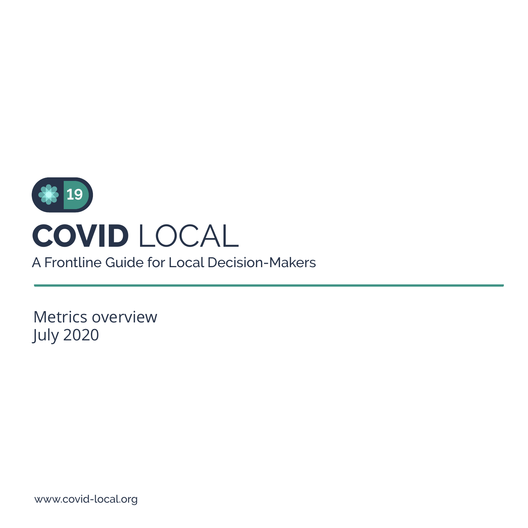

A Frontline Guide for Local Decision-Makers

Metrics overview July 2020

www.covid-local.org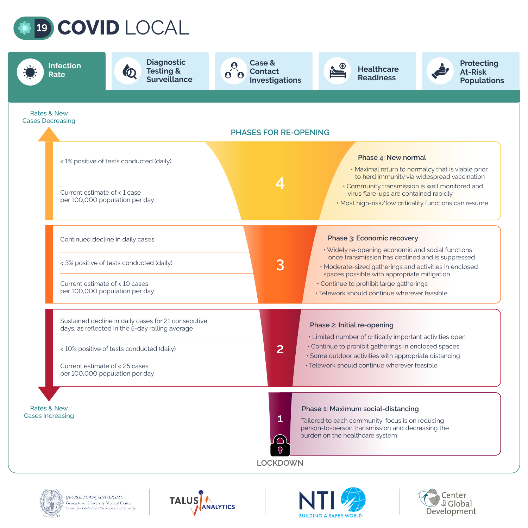









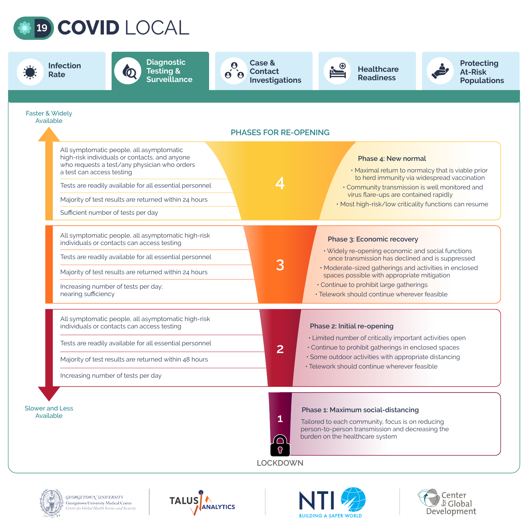

| <b>Infection</b><br>Rate                                                                                                                                                                                                                                                                                                         | <b>Diagnostic</b><br><b>Testing &amp;</b><br>$\boldsymbol{0}$<br><b>Surveillance</b>                                                                                                                                                                       | <b>Case &amp;</b><br>$\ddot{\theta}$<br><b>Contact</b><br><b>Investigations</b> |                                                                                                                                                                                                                                                                                                                                         | <b>Healthcare</b><br><b>Readiness</b>                                                                                                                                                                                     | <b>Protecting</b><br><b>At-Risk</b><br><b>Populations</b> |  |
|----------------------------------------------------------------------------------------------------------------------------------------------------------------------------------------------------------------------------------------------------------------------------------------------------------------------------------|------------------------------------------------------------------------------------------------------------------------------------------------------------------------------------------------------------------------------------------------------------|---------------------------------------------------------------------------------|-----------------------------------------------------------------------------------------------------------------------------------------------------------------------------------------------------------------------------------------------------------------------------------------------------------------------------------------|---------------------------------------------------------------------------------------------------------------------------------------------------------------------------------------------------------------------------|-----------------------------------------------------------|--|
| <b>Faster &amp; Widely</b><br>Available                                                                                                                                                                                                                                                                                          |                                                                                                                                                                                                                                                            | <b>PHASES FOR RE-OPENING</b>                                                    |                                                                                                                                                                                                                                                                                                                                         |                                                                                                                                                                                                                           |                                                           |  |
| All symptomatic people, all asymptomatic<br>high-risk individuals or contacts, and anyone<br>who requests a test/any physician who orders<br>a test can access testing<br>Tests are readily available for all essential personnel<br>Majority of test results are returned within 24 hours<br>Sufficient number of tests per day |                                                                                                                                                                                                                                                            |                                                                                 | Phase 4: New normal<br>. Maximal return to normalcy that is viable prior<br>to herd immunity via widespread vaccination<br>. Community transmission is well monitored and<br>virus flare-ups are contained rapidly<br>. Most high-risk/low criticality functions can resume                                                             |                                                                                                                                                                                                                           |                                                           |  |
| All symptomatic people, all asymptomatic high-risk<br>individuals or contacts can access testing<br>Tests are readily available for all essential personnel<br>Majority of test results are returned within 24 hours<br>Increasing number of tests per day;<br>nearing sufficiency                                               |                                                                                                                                                                                                                                                            | 3                                                                               | Phase 3: Economic recovery<br>. Widely re-opening economic and social functions<br>once transmission has declined and is suppressed<br>· Moderate-sized gatherings and activities in enclosed<br>spaces possible with appropriate mitigation<br>· Continue to prohibit large gatherings<br>· Telework should continue wherever feasible |                                                                                                                                                                                                                           |                                                           |  |
|                                                                                                                                                                                                                                                                                                                                  | All symptomatic people, all asymptomatic high-risk<br>individuals or contacts can access testing<br>Tests are readily available for all essential personnel<br>Majority of test results are returned within 48 hours<br>Increasing number of tests per day | $\mathbf{2}$                                                                    | Phase 2: Initial re-opening                                                                                                                                                                                                                                                                                                             | • Limited number of critically important activities open<br>• Continue to prohibit gatherings in enclosed spaces<br>· Some outdoor activities with appropriate distancing<br>• Telework should continue wherever feasible |                                                           |  |
| <b>Slower and Less</b><br>Available                                                                                                                                                                                                                                                                                              |                                                                                                                                                                                                                                                            | $\mathbf{1}$<br>$\bigcirc$<br><b>LOCKDOWN</b>                                   | burden on the healthcare system                                                                                                                                                                                                                                                                                                         | Phase 1: Maximum social-distancing<br>Tailored to each community, focus is on reducing<br>person-to-person transmission and decreasing the                                                                                |                                                           |  |







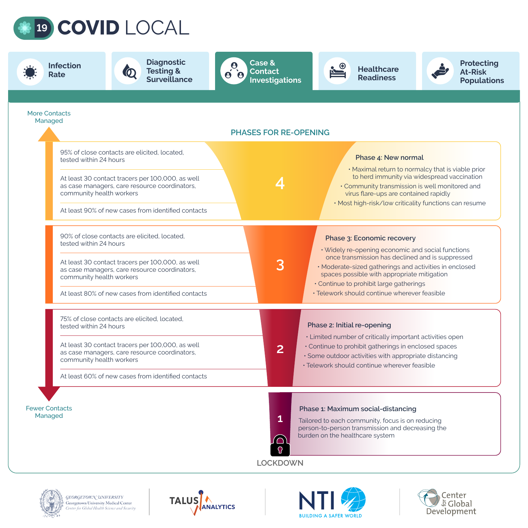









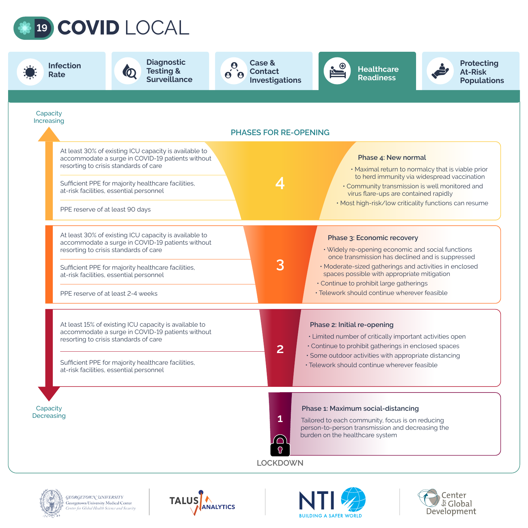